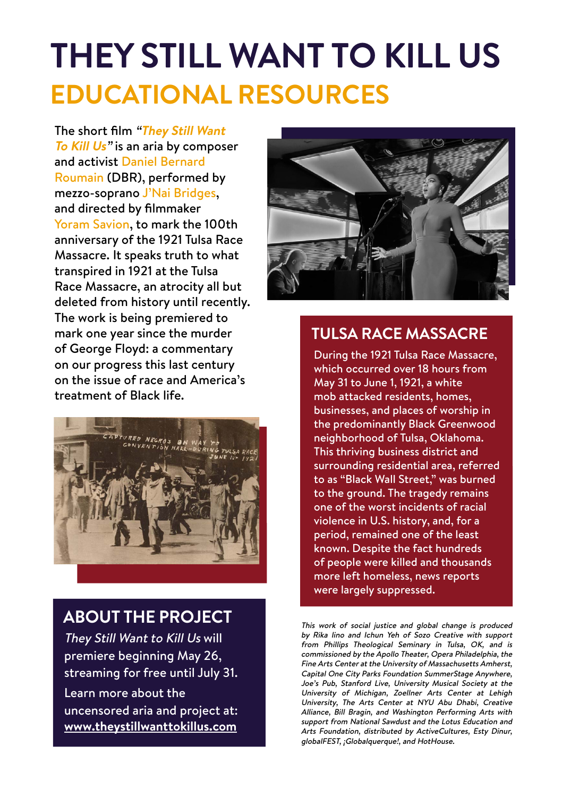## **THEY STILL WANT TO KILL US EDUCATIONAL RESOURCES**

The short film "**They Still Want To Kill Us**" is an aria by composer and activist Daniel Bernard Roumain (DBR), performed by mezzo-soprano J'Nai Bridges, and directed by filmmaker Yoram Savion, to mark the 100th anniversary of the 1921 Tulsa Race Massacre. It speaks truth to what transpired in 1921 at the Tulsa Race Massacre, an atrocity all but deleted from history until recently. The work is being premiered to mark one year since the murder of George Floyd: a commentary on our progress this last century on the issue of race and America's treatment of Black life.



#### **ABOUT THE PROJECT**

They Still Want to Kill Us will premiere beginning May 26, streaming for free until July 31. Learn more about the uncensored aria and project at: **[www.theystillwanttokillus.com](http://www.theystillwanttokillus.com)**



#### **TULSA RACE MASSACRE**

During the 1921 Tulsa Race Massacre, which occurred over 18 hours from May 31 to June 1, 1921, a white mob attacked residents, homes, businesses, and places of worship in the predominantly Black Greenwood neighborhood of Tulsa, Oklahoma. This thriving business district and surrounding residential area, referred to as "Black Wall Street," was burned to the ground. The tragedy remains one of the worst incidents of racial violence in U.S. history, and, for a period, remained one of the least known. Despite the fact hundreds of people were killed and thousands more left homeless, news reports were largely suppressed.

This work of social justice and global change is produced by Rika Iino and Ichun Yeh of Sozo Creative with support from Phillips Theological Seminary in Tulsa, OK, and is commissioned by the Apollo Theater, Opera Philadelphia, the Fine Arts Center at the University of Massachusetts Amherst, Capital One City Parks Foundation SummerStage Anywhere, Joe's Pub, Stanford Live, University Musical Society at the University of Michigan, Zoellner Arts Center at Lehigh University, The Arts Center at NYU Abu Dhabi, Creative Alliance, Bill Bragin, and Washington Performing Arts with support from National Sawdust and the Lotus Education and Arts Foundation, distributed by ActiveCultures, Esty Dinur, globalFEST, ¡Globalquerque!, and HotHouse.